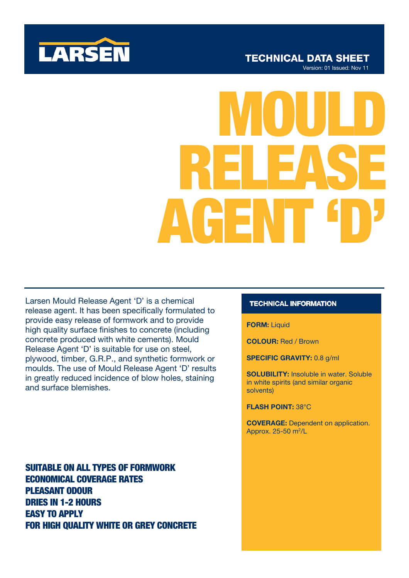

# RELEASE MOULD AGENT 'D'

Larsen Mould Release Agent 'D' is a chemical release agent. It has been specifically formulated to provide easy release of formwork and to provide high quality surface finishes to concrete (including concrete produced with white cements). Mould Release Agent 'D' is suitable for use on steel, plywood, timber, G.R.P., and synthetic formwork or moulds. The use of Mould Release Agent 'D' results in greatly reduced incidence of blow holes, staining and surface blemishes.

SUITABLE ON ALL TYPES OF FORMWORK ECONOMICAL COVERAGE RATES PLEASANT ODOUR DRIES IN 1-2 HOURS EASY TO APPLY FOR HIGH QUALITY WHITE OR GREY CONCRETE

## **TECHNICAL INFORMATION**

### **FORM: Liquid**

COLOUR: Red / Brown

SPECIFIC GRAVITY: 0.8 g/ml

SOLUBILITY: Insoluble in water. Soluble in white spirits (and similar organic solvents)

FLASH POINT: 38°C

COVERAGE: Dependent on application. Approx. 25-50 m<sup>2</sup>/L